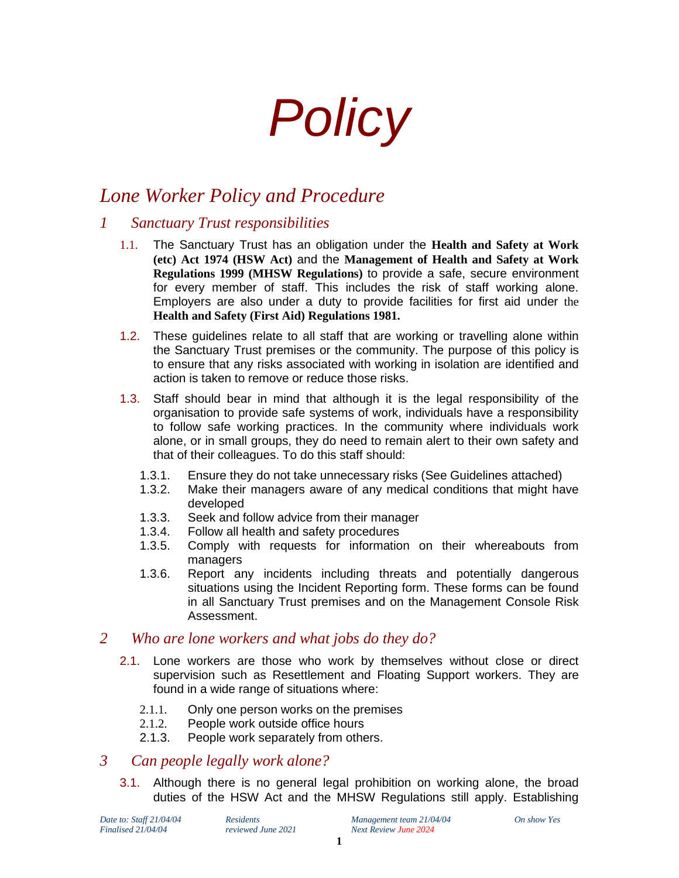# *Policy*

# *Lone Worker Policy and Procedure*

# *1 Sanctuary Trust responsibilities*

- 1.1. The Sanctuary Trust has an obligation under the **Health and Safety at Work (etc) Act 1974 (HSW Act)** and the **Management of Health and Safety at Work Regulations 1999 (MHSW Regulations)** to provide a safe, secure environment for every member of staff. This includes the risk of staff working alone. Employers are also under a duty to provide facilities for first aid under the **Health and Safety (First Aid) Regulations 1981.**
- 1.2. These guidelines relate to all staff that are working or travelling alone within the Sanctuary Trust premises or the community. The purpose of this policy is to ensure that any risks associated with working in isolation are identified and action is taken to remove or reduce those risks.
- 1.3. Staff should bear in mind that although it is the legal responsibility of the organisation to provide safe systems of work, individuals have a responsibility to follow safe working practices. In the community where individuals work alone, or in small groups, they do need to remain alert to their own safety and that of their colleagues. To do this staff should:
	- 1.3.1. Ensure they do not take unnecessary risks (See Guidelines attached)
	- 1.3.2. Make their managers aware of any medical conditions that might have developed
	- 1.3.3. Seek and follow advice from their manager
	- 1.3.4. Follow all health and safety procedures
	- 1.3.5. Comply with requests for information on their whereabouts from managers
	- 1.3.6. Report any incidents including threats and potentially dangerous situations using the Incident Reporting form. These forms can be found in all Sanctuary Trust premises and on the Management Console Risk Assessment.

# *2 Who are lone workers and what jobs do they do?*

- 2.1. Lone workers are those who work by themselves without close or direct supervision such as Resettlement and Floating Support workers. They are found in a wide range of situations where:
	- 2.1.1. Only one person works on the premises
	- 2.1.2. People work outside office hours
	- 2.1.3. People work separately from others.

# *3 Can people legally work alone?*

3.1. Although there is no general legal prohibition on working alone, the broad duties of the HSW Act and the MHSW Regulations still apply. Establishing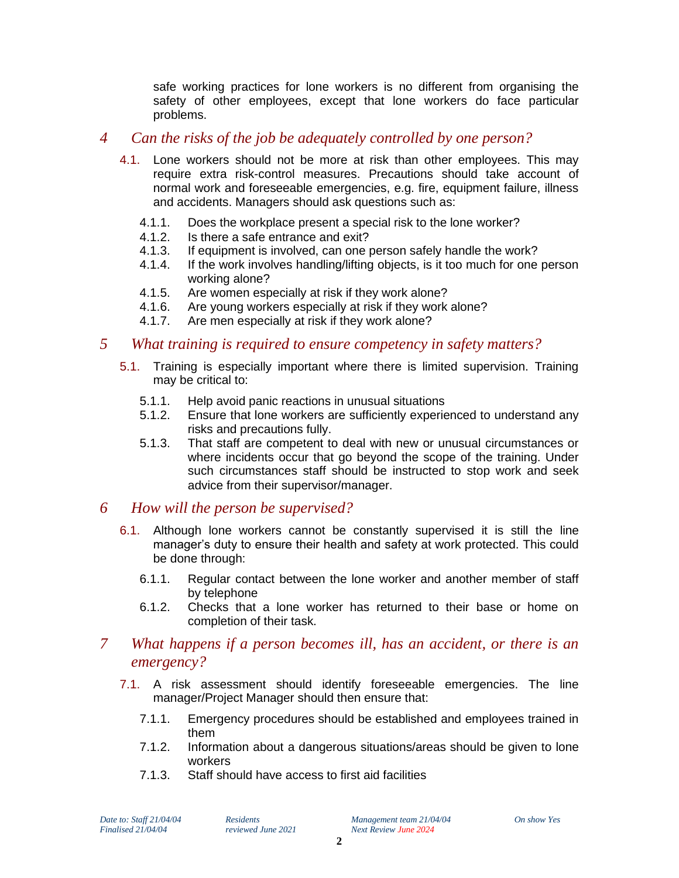safe working practices for lone workers is no different from organising the safety of other employees, except that lone workers do face particular problems.

#### *4 Can the risks of the job be adequately controlled by one person?*

- 4.1. Lone workers should not be more at risk than other employees. This may require extra risk-control measures. Precautions should take account of normal work and foreseeable emergencies, e.g. fire, equipment failure, illness and accidents. Managers should ask questions such as:
	- 4.1.1. Does the workplace present a special risk to the lone worker?
	- 4.1.2. Is there a safe entrance and exit?
	- 4.1.3. If equipment is involved, can one person safely handle the work?
	- 4.1.4. If the work involves handling/lifting objects, is it too much for one person working alone?
	- 4.1.5. Are women especially at risk if they work alone?
	- 4.1.6. Are young workers especially at risk if they work alone?
	- 4.1.7. Are men especially at risk if they work alone?

#### *5 What training is required to ensure competency in safety matters?*

- 5.1. Training is especially important where there is limited supervision. Training may be critical to:
	- 5.1.1. Help avoid panic reactions in unusual situations
	- 5.1.2. Ensure that lone workers are sufficiently experienced to understand any risks and precautions fully.
	- 5.1.3. That staff are competent to deal with new or unusual circumstances or where incidents occur that go beyond the scope of the training. Under such circumstances staff should be instructed to stop work and seek advice from their supervisor/manager.

#### *6 How will the person be supervised?*

- 6.1. Although lone workers cannot be constantly supervised it is still the line manager's duty to ensure their health and safety at work protected. This could be done through:
	- 6.1.1. Regular contact between the lone worker and another member of staff by telephone
	- 6.1.2. Checks that a lone worker has returned to their base or home on completion of their task.

#### *7 What happens if a person becomes ill, has an accident, or there is an emergency?*

- 7.1. A risk assessment should identify foreseeable emergencies. The line manager/Project Manager should then ensure that:
	- 7.1.1. Emergency procedures should be established and employees trained in them
	- 7.1.2. Information about a dangerous situations/areas should be given to lone workers
	- 7.1.3. Staff should have access to first aid facilities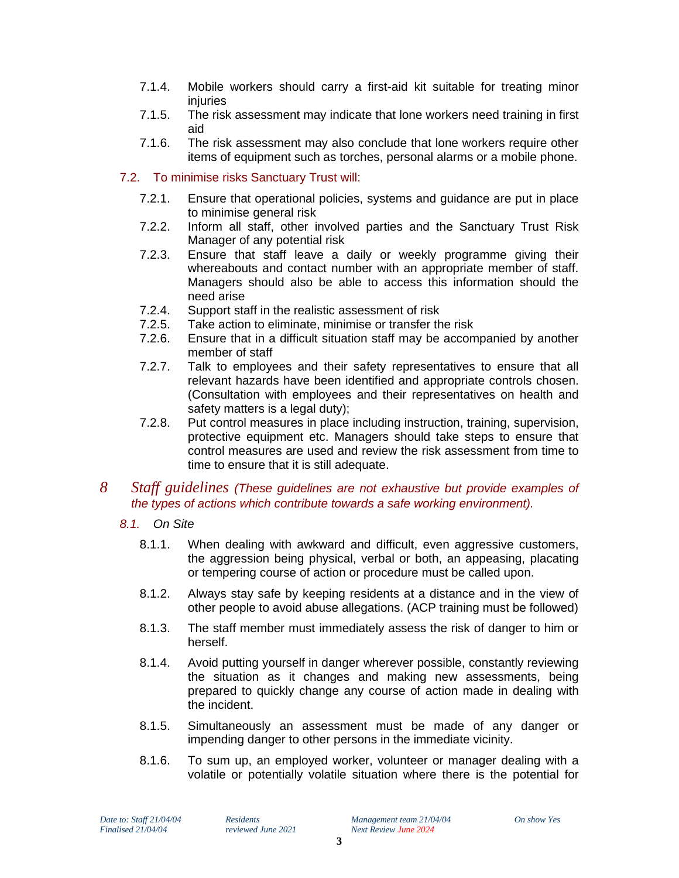- 7.1.4. Mobile workers should carry a first-aid kit suitable for treating minor injuries
- 7.1.5. The risk assessment may indicate that lone workers need training in first aid
- 7.1.6. The risk assessment may also conclude that lone workers require other items of equipment such as torches, personal alarms or a mobile phone.

#### 7.2. To minimise risks Sanctuary Trust will:

- 7.2.1. Ensure that operational policies, systems and guidance are put in place to minimise general risk
- 7.2.2. Inform all staff, other involved parties and the Sanctuary Trust Risk Manager of any potential risk
- 7.2.3. Ensure that staff leave a daily or weekly programme giving their whereabouts and contact number with an appropriate member of staff. Managers should also be able to access this information should the need arise
- 7.2.4. Support staff in the realistic assessment of risk
- 7.2.5. Take action to eliminate, minimise or transfer the risk
- 7.2.6. Ensure that in a difficult situation staff may be accompanied by another member of staff
- 7.2.7. Talk to employees and their safety representatives to ensure that all relevant hazards have been identified and appropriate controls chosen. (Consultation with employees and their representatives on health and safety matters is a legal duty);
- 7.2.8. Put control measures in place including instruction, training, supervision, protective equipment etc. Managers should take steps to ensure that control measures are used and review the risk assessment from time to time to ensure that it is still adequate.

#### *8 Staff guidelines (These guidelines are not exhaustive but provide examples of the types of actions which contribute towards a safe working environment).*

- *8.1. On Site*
	- 8.1.1. When dealing with awkward and difficult, even aggressive customers, the aggression being physical, verbal or both, an appeasing, placating or tempering course of action or procedure must be called upon.
	- 8.1.2. Always stay safe by keeping residents at a distance and in the view of other people to avoid abuse allegations. (ACP training must be followed)
	- 8.1.3. The staff member must immediately assess the risk of danger to him or herself.
	- 8.1.4. Avoid putting yourself in danger wherever possible, constantly reviewing the situation as it changes and making new assessments, being prepared to quickly change any course of action made in dealing with the incident.
	- 8.1.5. Simultaneously an assessment must be made of any danger or impending danger to other persons in the immediate vicinity.
	- 8.1.6. To sum up, an employed worker, volunteer or manager dealing with a volatile or potentially volatile situation where there is the potential for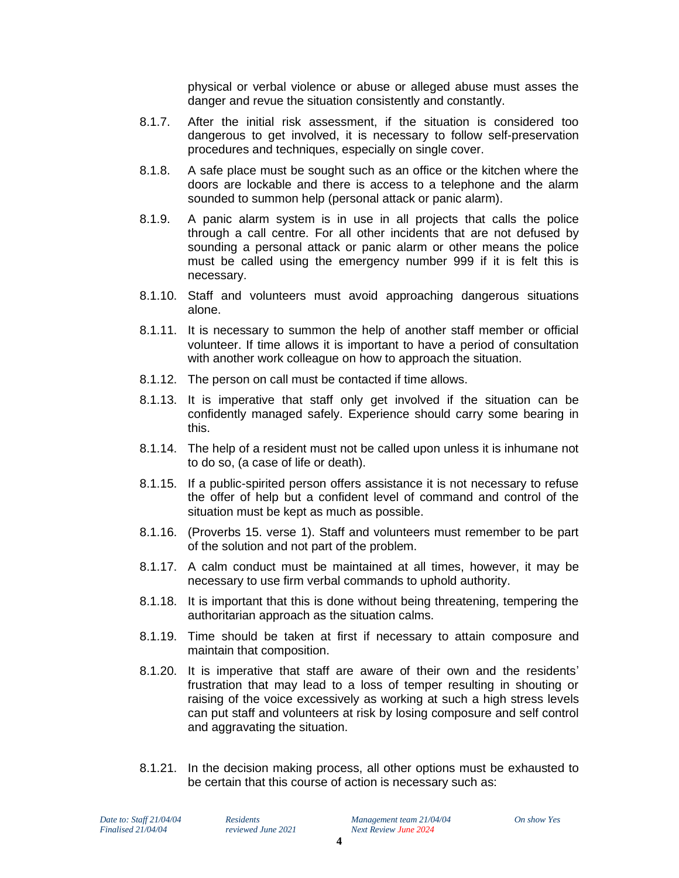physical or verbal violence or abuse or alleged abuse must asses the danger and revue the situation consistently and constantly.

- 8.1.7. After the initial risk assessment, if the situation is considered too dangerous to get involved, it is necessary to follow self-preservation procedures and techniques, especially on single cover.
- 8.1.8. A safe place must be sought such as an office or the kitchen where the doors are lockable and there is access to a telephone and the alarm sounded to summon help (personal attack or panic alarm).
- 8.1.9. A panic alarm system is in use in all projects that calls the police through a call centre. For all other incidents that are not defused by sounding a personal attack or panic alarm or other means the police must be called using the emergency number 999 if it is felt this is necessary.
- 8.1.10. Staff and volunteers must avoid approaching dangerous situations alone.
- 8.1.11. It is necessary to summon the help of another staff member or official volunteer. If time allows it is important to have a period of consultation with another work colleague on how to approach the situation.
- 8.1.12. The person on call must be contacted if time allows.
- 8.1.13. It is imperative that staff only get involved if the situation can be confidently managed safely. Experience should carry some bearing in this.
- 8.1.14. The help of a resident must not be called upon unless it is inhumane not to do so, (a case of life or death).
- 8.1.15. If a public-spirited person offers assistance it is not necessary to refuse the offer of help but a confident level of command and control of the situation must be kept as much as possible.
- 8.1.16. (Proverbs 15. verse 1). Staff and volunteers must remember to be part of the solution and not part of the problem.
- 8.1.17. A calm conduct must be maintained at all times, however, it may be necessary to use firm verbal commands to uphold authority.
- 8.1.18. It is important that this is done without being threatening, tempering the authoritarian approach as the situation calms.
- 8.1.19. Time should be taken at first if necessary to attain composure and maintain that composition.
- 8.1.20. It is imperative that staff are aware of their own and the residents' frustration that may lead to a loss of temper resulting in shouting or raising of the voice excessively as working at such a high stress levels can put staff and volunteers at risk by losing composure and self control and aggravating the situation.
- 8.1.21. In the decision making process, all other options must be exhausted to be certain that this course of action is necessary such as: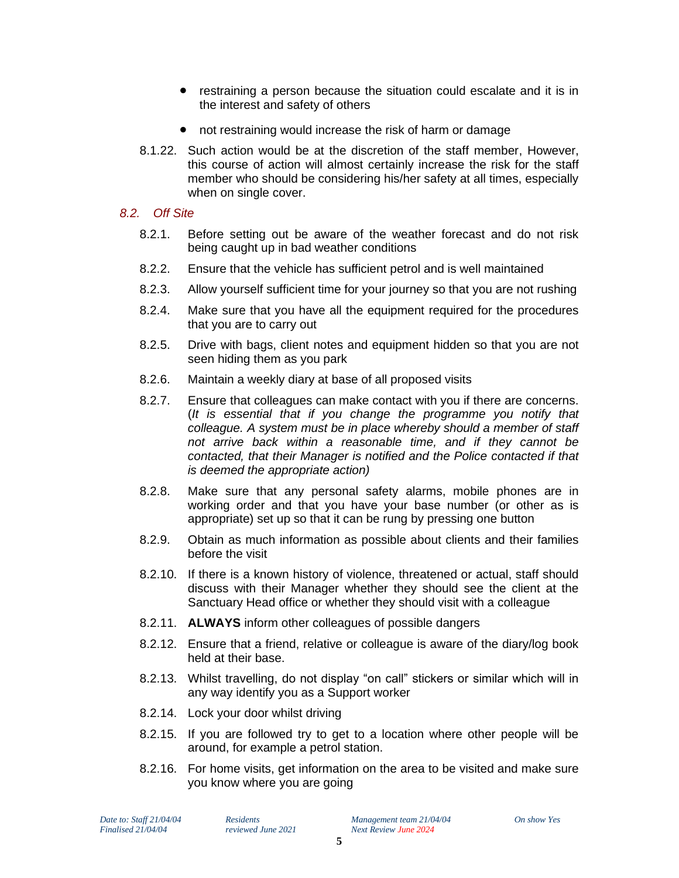- restraining a person because the situation could escalate and it is in the interest and safety of others
- not restraining would increase the risk of harm or damage
- 8.1.22. Such action would be at the discretion of the staff member, However, this course of action will almost certainly increase the risk for the staff member who should be considering his/her safety at all times, especially when on single cover.

#### *8.2. Off Site*

- 8.2.1. Before setting out be aware of the weather forecast and do not risk being caught up in bad weather conditions
- 8.2.2. Ensure that the vehicle has sufficient petrol and is well maintained
- 8.2.3. Allow yourself sufficient time for your journey so that you are not rushing
- 8.2.4. Make sure that you have all the equipment required for the procedures that you are to carry out
- 8.2.5. Drive with bags, client notes and equipment hidden so that you are not seen hiding them as you park
- 8.2.6. Maintain a weekly diary at base of all proposed visits
- 8.2.7. Ensure that colleagues can make contact with you if there are concerns. (*It is essential that if you change the programme you notify that colleague. A system must be in place whereby should a member of staff not arrive back within a reasonable time, and if they cannot be contacted, that their Manager is notified and the Police contacted if that is deemed the appropriate action)*
- 8.2.8. Make sure that any personal safety alarms, mobile phones are in working order and that you have your base number (or other as is appropriate) set up so that it can be rung by pressing one button
- 8.2.9. Obtain as much information as possible about clients and their families before the visit
- 8.2.10. If there is a known history of violence, threatened or actual, staff should discuss with their Manager whether they should see the client at the Sanctuary Head office or whether they should visit with a colleague
- 8.2.11. **ALWAYS** inform other colleagues of possible dangers
- 8.2.12. Ensure that a friend, relative or colleague is aware of the diary/log book held at their base.
- 8.2.13. Whilst travelling, do not display "on call" stickers or similar which will in any way identify you as a Support worker
- 8.2.14. Lock your door whilst driving
- 8.2.15. If you are followed try to get to a location where other people will be around, for example a petrol station.
- 8.2.16. For home visits, get information on the area to be visited and make sure you know where you are going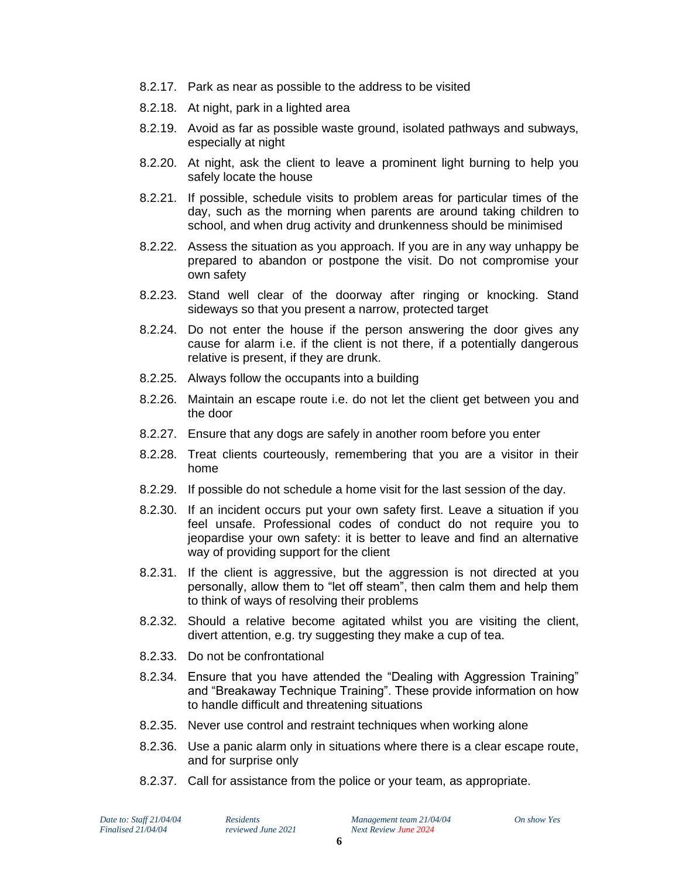- 8.2.17. Park as near as possible to the address to be visited
- 8.2.18. At night, park in a lighted area
- 8.2.19. Avoid as far as possible waste ground, isolated pathways and subways, especially at night
- 8.2.20. At night, ask the client to leave a prominent light burning to help you safely locate the house
- 8.2.21. If possible, schedule visits to problem areas for particular times of the day, such as the morning when parents are around taking children to school, and when drug activity and drunkenness should be minimised
- 8.2.22. Assess the situation as you approach. If you are in any way unhappy be prepared to abandon or postpone the visit. Do not compromise your own safety
- 8.2.23. Stand well clear of the doorway after ringing or knocking. Stand sideways so that you present a narrow, protected target
- 8.2.24. Do not enter the house if the person answering the door gives any cause for alarm i.e. if the client is not there, if a potentially dangerous relative is present, if they are drunk.
- 8.2.25. Always follow the occupants into a building
- 8.2.26. Maintain an escape route i.e. do not let the client get between you and the door
- 8.2.27. Ensure that any dogs are safely in another room before you enter
- 8.2.28. Treat clients courteously, remembering that you are a visitor in their home
- 8.2.29. If possible do not schedule a home visit for the last session of the day.
- 8.2.30. If an incident occurs put your own safety first. Leave a situation if you feel unsafe. Professional codes of conduct do not require you to jeopardise your own safety: it is better to leave and find an alternative way of providing support for the client
- 8.2.31. If the client is aggressive, but the aggression is not directed at you personally, allow them to "let off steam", then calm them and help them to think of ways of resolving their problems
- 8.2.32. Should a relative become agitated whilst you are visiting the client, divert attention, e.g. try suggesting they make a cup of tea.
- 8.2.33. Do not be confrontational
- 8.2.34. Ensure that you have attended the "Dealing with Aggression Training" and "Breakaway Technique Training". These provide information on how to handle difficult and threatening situations
- 8.2.35. Never use control and restraint techniques when working alone
- 8.2.36. Use a panic alarm only in situations where there is a clear escape route, and for surprise only
- 8.2.37. Call for assistance from the police or your team, as appropriate.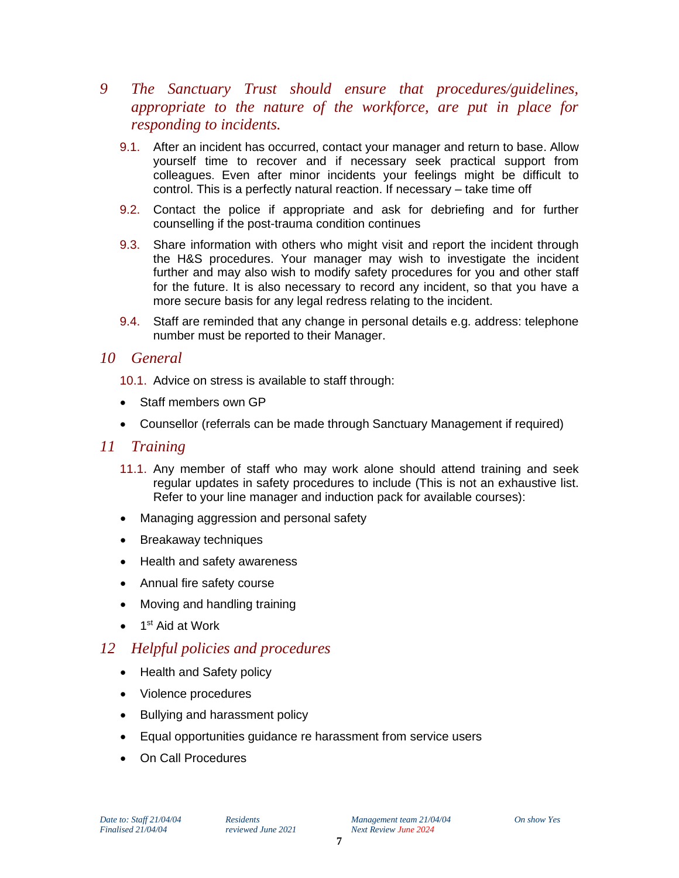- *9 The Sanctuary Trust should ensure that procedures/guidelines, appropriate to the nature of the workforce, are put in place for responding to incidents.* 
	- 9.1. After an incident has occurred, contact your manager and return to base. Allow yourself time to recover and if necessary seek practical support from colleagues. Even after minor incidents your feelings might be difficult to control. This is a perfectly natural reaction. If necessary – take time off
	- 9.2. Contact the police if appropriate and ask for debriefing and for further counselling if the post-trauma condition continues
	- 9.3. Share information with others who might visit and report the incident through the H&S procedures. Your manager may wish to investigate the incident further and may also wish to modify safety procedures for you and other staff for the future. It is also necessary to record any incident, so that you have a more secure basis for any legal redress relating to the incident.
	- 9.4. Staff are reminded that any change in personal details e.g. address: telephone number must be reported to their Manager.

#### *10 General*

- 10.1. Advice on stress is available to staff through:
- Staff members own GP
- Counsellor (referrals can be made through Sanctuary Management if required)

#### *11 Training*

- 11.1. Any member of staff who may work alone should attend training and seek regular updates in safety procedures to include (This is not an exhaustive list. Refer to your line manager and induction pack for available courses):
- Managing aggression and personal safety
- Breakaway techniques
- Health and safety awareness
- Annual fire safety course
- Moving and handling training
- 1<sup>st</sup> Aid at Work

# *12 Helpful policies and procedures*

- Health and Safety policy
- Violence procedures
- Bullying and harassment policy
- Equal opportunities guidance re harassment from service users
- On Call Procedures